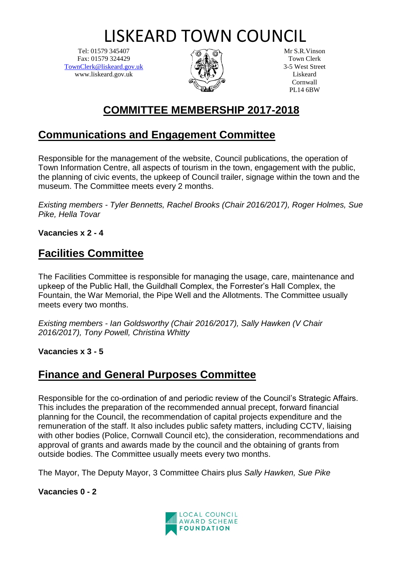# LISKEARD TOWN COUNCIL

Tel: 01579 345407 Fax: 01579 324429 [TownClerk@liskeard.gov.uk](mailto:TownClerk@liskeard.gov.uk) www.liskeard.gov.uk



Mr S.R.Vinson Town Clerk 3-5 West Street Liskeard Cornwall PL14 6BW

# **COMMITTEE MEMBERSHIP 2017-2018**

# **Communications and Engagement Committee**

Responsible for the management of the website, Council publications, the operation of Town Information Centre, all aspects of tourism in the town, engagement with the public, the planning of civic events, the upkeep of Council trailer, signage within the town and the museum. The Committee meets every 2 months.

*Existing members - Tyler Bennetts, Rachel Brooks (Chair 2016/2017), Roger Holmes, Sue Pike, Hella Tovar*

**Vacancies x 2 - 4**

### **Facilities Committee**

The Facilities Committee is responsible for managing the usage, care, maintenance and upkeep of the Public Hall, the Guildhall Complex, the Forrester's Hall Complex, the Fountain, the War Memorial, the Pipe Well and the Allotments. The Committee usually meets every two months.

*Existing members - Ian Goldsworthy (Chair 2016/2017), Sally Hawken (V Chair 2016/2017), Tony Powell, Christina Whitty*

**Vacancies x 3 - 5**

#### **Finance and General Purposes Committee**

Responsible for the co-ordination of and periodic review of the Council's Strategic Affairs. This includes the preparation of the recommended annual precept, forward financial planning for the Council, the recommendation of capital projects expenditure and the remuneration of the staff. It also includes public safety matters, including CCTV, liaising with other bodies (Police, Cornwall Council etc), the consideration, recommendations and approval of grants and awards made by the council and the obtaining of grants from outside bodies. The Committee usually meets every two months.

The Mayor, The Deputy Mayor, 3 Committee Chairs plus *Sally Hawken, Sue Pike*

**Vacancies 0 - 2**